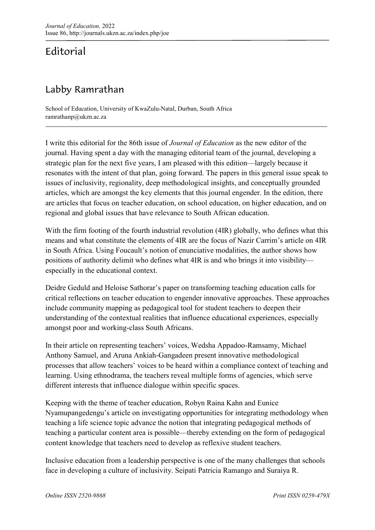Editorial

## Labby Ramrathan

School of Education, University of KwaZulu-Natal, Durban, South Africa ramrathanp@ukzn.ac.za

I write this editorial for the 86th issue of *Journal of Education* as the new editor of the journal. Having spent a day with the managing editorial team of the journal, developing a strategic plan for the next five years, I am pleased with this edition—largely because it resonates with the intent of that plan, going forward. The papers in this general issue speak to issues of inclusivity, regionality, deep methodological insights, and conceptually grounded articles, which are amongst the key elements that this journal engender. In the edition, there are articles that focus on teacher education, on school education, on higher education, and on regional and global issues that have relevance to South African education.

With the firm footing of the fourth industrial revolution (4IR) globally, who defines what this means and what constitute the elements of 4IR are the focus of Nazir Carrim's article on 4IR in South Africa. Using Foucault's notion of enunciative modalities, the author shows how positions of authority delimit who defines what 4IR is and who brings it into visibility especially in the educational context.

Deidre Geduld and Heloise Sathorar's paper on transforming teaching education calls for critical reflections on teacher education to engender innovative approaches. These approaches include community mapping as pedagogical tool for student teachers to deepen their understanding of the contextual realities that influence educational experiences, especially amongst poor and working-class South Africans.

In their article on representing teachers' voices, Wedsha Appadoo-Ramsamy, Michael Anthony Samuel, and Aruna Ankiah-Gangadeen present innovative methodological processes that allow teachers' voices to be heard within a compliance context of teaching and learning. Using ethnodrama, the teachers reveal multiple forms of agencies, which serve different interests that influence dialogue within specific spaces.

Keeping with the theme of teacher education, Robyn Raina Kahn and Eunice Nyamupangedengu's article on investigating opportunities for integrating methodology when teaching a life science topic advance the notion that integrating pedagogical methods of teaching a particular content area is possible—thereby extending on the form of pedagogical content knowledge that teachers need to develop as reflexive student teachers.

Inclusive education from a leadership perspective is one of the many challenges that schools face in developing a culture of inclusivity. Seipati Patricia Ramango and Suraiya R.